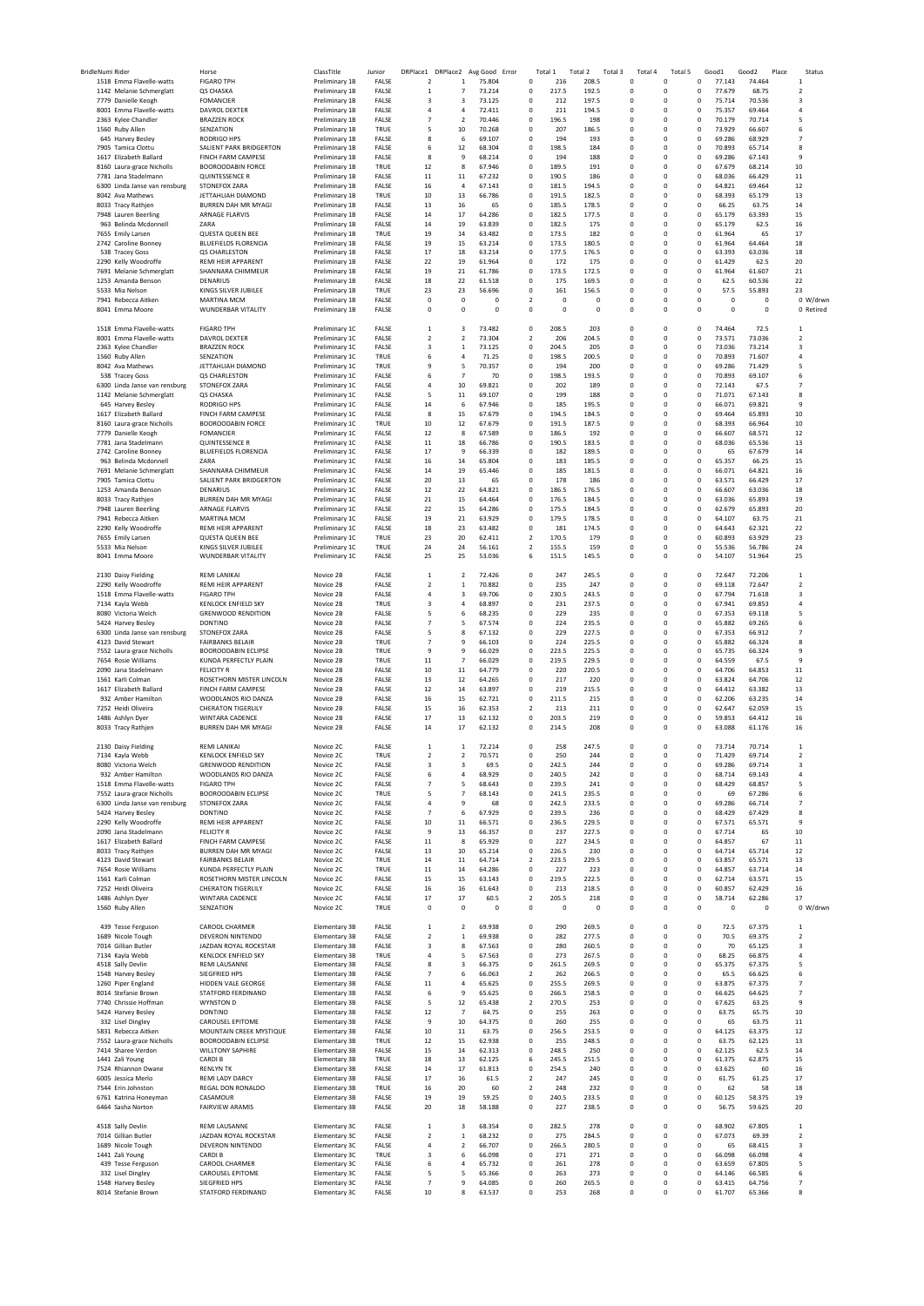| BridleNumi Rider                                  | Horse                                        | ClassTitle                       | Junior         | DRPlace1                         | DRPlace2                                | Avg Good<br>Error | Total 1                                      | Total 2        | Total 3                    | Total 4 | Total 5                    |                            | Good1            | Good2            | Place<br>Status          |
|---------------------------------------------------|----------------------------------------------|----------------------------------|----------------|----------------------------------|-----------------------------------------|-------------------|----------------------------------------------|----------------|----------------------------|---------|----------------------------|----------------------------|------------------|------------------|--------------------------|
| 1518 Emma Flavelle-watts                          | <b>FIGARO TPH</b>                            | Preliminary 1B                   | FALSE          | $\overline{2}$                   | 1                                       | 75.804            | 0<br>216                                     | 208.5          | 0                          |         | 0                          | 0                          | 77.143           | 74.464           | 1                        |
| 1142 Melanie Schmerglatt                          | QS CHASKA                                    | Preliminary 1B                   | FALSE          | $\mathbf{1}$                     | $\overline{7}$                          | 73.214            | 0<br>217.5                                   | 192.5          | 0                          |         | 0                          | 0                          | 77.679           | 68.75            | 2                        |
| 7779 Danielle Keogh<br>8001 Emma Flavelle-watts   | <b>FOMANCIER</b>                             | Preliminary 1B                   | FALSE<br>FALSE | 3<br>$\overline{4}$              | 3<br>4                                  | 73.125<br>72.411  | 0<br>212<br>211                              | 197.5<br>194.5 | 0<br>$\mathbf 0$           |         | 0<br>$\mathbf 0$           | 0<br>$\mathbf 0$           | 75.714           | 70.536<br>69.464 | 3<br>4                   |
| 2363 Kylee Chandler                               | DAVROL DEXTER<br><b>BRAZZEN ROCK</b>         | Preliminary 1B<br>Preliminary 1B | FALSE          | $\overline{7}$                   | $\overline{2}$                          | 70.446            | 0<br>0<br>196.5                              | 198            | $\mathbf 0$                |         | $\mathbf 0$                | $\mathbf 0$                | 75.357<br>70.179 | 70.714           | 5                        |
| 1560 Ruby Allen                                   | SENZATION                                    | Preliminary 1B                   | TRUE           | 5                                | 10                                      | 70.268            | 0<br>207                                     | 186.5          | $\mathbf 0$                |         | $\mathbf 0$                | $\mathbf 0$                | 73.929           | 66.607           | 6                        |
| 645 Harvey Besley                                 | <b>RODRIGO HPS</b>                           | Preliminary 1B                   | FALSE          | 8                                | 6                                       | 69.107            | $\mathbf 0$<br>194                           | 193            | $\mathbf 0$                |         | $\mathbf 0$                | $\mathsf{o}\,$             | 69.286           | 68.929           | $\overline{7}$           |
| 7905 Tamica Clottu                                | SALIENT PARK BRIDGERTON                      | Preliminary 1B                   | FALSE          | 6                                | 12                                      | 68.304            | $\mathbf 0$<br>198.5                         | 184            | $\mathbf 0$                |         | $\mathbf 0$                | $\mathsf 0$                | 70.893           | 65.714           | 8                        |
| 1617 Flizabeth Ballard                            | <b>FINCH FARM CAMPESE</b>                    | Preliminary 1B                   | FALSE          | 8                                | 9                                       | 68.214            | $\mathbf 0$<br>194                           | 188            | $\mathbf 0$                |         | $\mathbf 0$                | 0                          | 69.286           | 67.143           | 9                        |
| 8160 Laura-grace Nicholls                         | <b>BOOROODABIN FORCE</b>                     | Preliminary 1B                   | TRUE           | 12                               | 8                                       | 67.946            | $\mathbf 0$<br>189.5                         | 191            | $\mathbf 0$                |         | $\mathbf 0$                | 0                          | 67.679           | 68.214           | 10                       |
| 7781 Jana Stadelmann                              | QUINTESSENCE R                               | Preliminary 1B                   | FALSE          | 11<br>16                         | 11<br>$\overline{a}$                    | 67.232            | $\mathbf 0$<br>190.5<br>$^{\circ}$<br>181.5  | 186<br>194.5   | $\Omega$<br>$\Omega$       |         | $\mathbf 0$<br>$\mathbf 0$ | $\Omega$<br>$\Omega$       | 68.036<br>64.821 | 66.429<br>69.464 | 11<br>12                 |
| 6300 Linda Janse van rensburg<br>8042 Ava Mathews | STONEFOX ZARA<br>JETTAHLIAH DIAMOND          | Preliminary 1B<br>Preliminary 1B | FALSE<br>TRUE  | 10                               | 13                                      | 67.143<br>66.786  | $^{\circ}$<br>191.5                          | 182.5          | $\Omega$                   |         | $\mathbf 0$                | $\mathsf 0$                | 68.393           | 65.179           | 13                       |
| 8033 Tracy Rathjen                                | <b>BURREN DAH MR MYAGI</b>                   | Preliminary 1B                   | FALSE          | 13                               | 16                                      | 65                | $^{\circ}$<br>185.5                          | 178.5          | $\mathbf 0$                |         | 0                          | $\mathbf 0$                | 66.25            | 63.75            | 14                       |
| 7948 Lauren Beerling                              | ARNAGE FLARVIS                               | Preliminary 1B                   | FALSE          | 14                               | 17                                      | 64.286            | $^{\circ}$<br>182.5                          | 177.5          | 0                          |         | 0                          | $\mathbf 0$                | 65.179           | 63.393           | 15                       |
| 963 Belinda Mcdonnell                             | ZARA                                         | Preliminary 1B                   | FALSE          | 14                               | 19                                      | 63.839            | $^{\circ}$<br>182.5                          | 175            | 0                          |         | 0                          | $^{\circ}$                 | 65.179           | 62.5             | 16                       |
| 7655 Emily Larsen                                 | QUESTA QUEEN BEE                             | Preliminary 1B                   | TRUE           | 19                               | 14                                      | 63.482            | $\mathbf 0$<br>173.5                         | 182            | $\mathbf 0$                |         | $\mathbf 0$                | 0                          | 61.964           | 65               | 17                       |
| 2742 Caroline Bonney                              | <b>BLUEFIELDS FLORENCIA</b>                  | Preliminary 1B                   | FALSE          | 19                               | 15                                      | 63.214            | $\mathbf 0$<br>173.5                         | 180.5          | $\circ$                    |         | $\mathbf 0$                | $\mathbf 0$                | 61.964           | 64.464           | 18                       |
| 538 Tracey Goss                                   | QS CHARLESTON                                | Preliminary 1B                   | FALSE          | 17                               | 18                                      | 63.214            | 0<br>177.5                                   | 176.5          | $\circ$                    |         | 0                          | $\mathbf 0$                | 63.393           | 63.036           | 18                       |
| 2290 Kelly Woodroffe                              | <b>REMI HEIR APPARENT</b>                    | Preliminary 1B                   | FALSE          | 22                               | 19                                      | 61.964            | $\mathbf 0$<br>172                           | 175            | $\mathbf 0$                |         | $\mathbf 0$                | $\mathsf 0$                | 61.429           | 62.5             | 20                       |
| 7691 Melanie Schmerglatt                          | SHANNARA CHIMMEUR                            | Preliminary 1B                   | FALSE          | 19                               | 21                                      | 61.786            | 173.5<br>$\mathbf 0$<br>$\mathbf 0$          | 172.5          | $\mathbf 0$                |         | $\mathbf 0$                | $\mathsf 0$                | 61.964           | 61.607           | 21                       |
| 1253 Amanda Benson<br>5533 Mia Nelson             | <b>DENARIUS</b><br>KINGS SILVER JUBILEE      | Preliminary 1B<br>Preliminary 1B | FALSE<br>TRUE  | 18<br>23                         | 22<br>23                                | 61.518<br>56.696  | 175<br>0<br>161                              | 169.5<br>156.5 | $\mathbf 0$<br>$\Omega$    |         | $\mathbf 0$<br>0           | $\mathsf 0$<br>$\mathbf 0$ | 62.5<br>57.5     | 60.536<br>55.893 | 22<br>23                 |
| 7941 Rebecca Aitken                               | MARTINA MCM                                  | Preliminary 1B                   | FALSE          | 0                                | 0                                       | 0                 | $\overline{2}$<br>0                          | $^{\circ}$     | $\mathbf 0$                |         | 0                          | 0                          | 0                | $\mathbf 0$      | 0 W/drwr                 |
| 8041 Emma Moore                                   | WUNDERBAR VITALITY                           | Preliminary 1B                   | FALSE          | $^{\circ}$                       | 0                                       | 0                 | $\mathbf 0$<br>0                             | 0              | $\mathbf 0$                |         | 0                          | 0                          | 0                | 0                | 0 Retired                |
|                                                   |                                              |                                  |                |                                  |                                         |                   |                                              |                |                            |         |                            |                            |                  |                  |                          |
| 1518 Emma Flavelle-watts                          | <b>FIGARO TPH</b>                            | Preliminary 1C                   | FALSE          | $\mathbf{1}$                     | 3                                       | 73.482            | 0<br>208.5                                   | 203            | 0                          |         | 0                          | 0                          | 74.464           | 72.5             | 1                        |
| 8001 Emma Flavelle-watts                          | DAVROL DEXTER                                | Preliminary 1C                   | FALSE          | $\overline{2}$                   | $\overline{2}$                          | 73.304            | $\overline{\mathbf{2}}$<br>206               | 204.5          | 0                          |         | 0                          | 0                          | 73.571           | 73.036           | $\overline{\mathbf{c}}$  |
| 2363 Kylee Chandler                               | <b>BRAZZEN ROCK</b>                          | Preliminary 1C                   | FALSE          | $\overline{3}$                   | $\,$ 1                                  | 73.125            | 0<br>204.5                                   | 205            | $\mathbf 0$                |         | $\mathbf 0$                | $\mathbf 0$                | 73.036           | 73.214           | 3                        |
| 1560 Ruby Allen                                   | SENZATION                                    | Preliminary 1C                   | TRUE           | 6                                | 4                                       | 71.25             | 0<br>198.5                                   | 200.5          | $\mathbf 0$                |         | $\mathbf 0$                | $\mathbf 0$                | 70.893           | 71.607           | 4                        |
| 8042 Ava Mathews<br>538 Tracey Goss               | JETTAHLIAH DIAMOND<br>QS CHARLESTON          | Preliminary 1C                   | TRUE<br>FALSE  | 9<br>6                           | 5<br>$\overline{7}$                     | 70.357<br>70      | 0<br>194<br>$\mathbf 0$<br>198.5             | 200<br>193.5   | $\mathbf 0$<br>$\mathbf 0$ |         | $\mathbf 0$<br>$\mathbf 0$ | $\mathbf 0$<br>$\mathsf 0$ | 69.286<br>70.893 | 71.429<br>69.107 | 5<br>6                   |
| 6300 Linda Janse van rensburg                     | STONEFOX ZARA                                | Preliminary 1C<br>Preliminary 1C | FALSE          | $\overline{4}$                   | 10                                      | 69.821            | $\mathbf 0$<br>202                           | 189            | $\mathbf 0$                |         | $\mathbf 0$                | 0                          | 72.143           | 67.5             | $\overline{7}$           |
| 1142 Melanie Schmerglatt                          | OS CHASKA                                    | Preliminary 1C                   | FALSE          | 5                                | 11                                      | 69.107            | $\mathbf 0$<br>199                           | 188            | $\mathbf 0$                |         | $\mathbf 0$                | 0                          | 71.071           | 67.143           | 8                        |
| 645 Harvey Besley                                 | <b>RODRIGO HPS</b>                           | Preliminary 1C                   | FALSE          | 14                               | 6                                       | 67.946            | $\mathbf 0$<br>185                           | 195.5          | $\Omega$                   |         | $\mathbf 0$                | $\Omega$                   | 66.071           | 69.821           | $\mathbf{q}$             |
| 1617 Elizabeth Ballard                            | FINCH FARM CAMPESE                           | Preliminary 1C                   | FALSE          | 8                                | 15                                      | 67.679            | $^{\circ}$<br>194.5                          | 184.5          | $\Omega$                   |         | $\mathbf 0$                | $\Omega$                   | 69.464           | 65.893           | 10                       |
| 8160 Laura-grace Nicholls                         | <b>BOOROODABIN FORCE</b>                     | Preliminary 1C                   | TRUE           | 10                               | 12                                      | 67.679            | $^{\circ}$<br>191.5                          | 187.5          | $\Omega$                   |         | $\mathbf 0$                | $\mathsf 0$                | 68.393           | 66.964           | 10                       |
| 7779 Danielle Keogh                               | FOMANCIER                                    | Preliminary 1C                   | FALSE          | 12                               | 8                                       | 67.589            | $^{\circ}$<br>186.5                          | 192            | 0                          |         | 0                          | $\mathbf 0$                | 66.607           | 68.571           | 12                       |
| 7781 Jana Stadelmann                              | QUINTESSENCE R                               | Preliminary 1C                   | FALSE          | $11\,$                           | 18                                      | 66.786            | $\mathbf 0$<br>190.5                         | 183.5          | 0                          |         | 0                          | $\mathbf 0$                | 68.036           | 65.536           | 13                       |
| 2742 Caroline Bonney                              | BLUEFIELDS FLORENCIA                         | Preliminary 1C                   | FALSE          | 17                               | 9                                       | 66.339            | $^{\circ}$<br>182                            | 189.5          | 0                          |         | 0                          | $\mathbf 0$                | 65               | 67.679           | 14                       |
| 963 Belinda Mcdonnell                             | ZARA                                         | Preliminary 1C                   | FALSE          | 16                               | 14                                      | 65.804            | $\mathbf 0$<br>183                           | 185.5          | $\mathbf 0$                |         | $\mathbf 0$                | 0                          | 65.357           | 66.25            | 15                       |
| 7691 Melanie Schmerglatt                          | SHANNARA CHIMMEUR                            | Preliminary 1C                   | FALSE          | 14                               | 19                                      | 65.446            | $\mathbf 0$<br>185                           | 181.5          | $\mathbf 0$                |         | $\mathbf 0$                | $\mathbf 0$                | 66.071           | 64.821           | 16                       |
| 7905 Tamica Clottu<br>1253 Amanda Benson          | SALIENT PARK BRIDGERTON<br>DENARIUS          | Preliminary 1C                   | FALSE<br>FALSE | 20<br>12                         | 13<br>22                                | 65<br>64.821      | 0<br>178<br>$\mathbf 0$<br>186.5             | 186<br>176.5   | $\mathbf 0$<br>$\mathbf 0$ |         | $\mathbf 0$<br>$\mathbf 0$ | $\mathbf 0$<br>$\mathsf 0$ | 63.571<br>66.607 | 66.429<br>63.036 | 17<br>18                 |
| 8033 Tracy Rathien                                | <b>BURREN DAH MR MYAGI</b>                   | Preliminary 1C<br>Preliminary 1C | FALSE          | 21                               | 15                                      | 64.464            | $\mathbf 0$<br>176.5                         | 184.5          | 0                          |         | $\mathbf 0$                | $\mathsf 0$                | 63.036           | 65.893           | 19                       |
| 7948 Lauren Beerling                              | <b>ARNAGE FLARVIS</b>                        | Preliminary 1C                   | FALSE          | 22                               | 15                                      | 64.286            | $\mathbf 0$<br>175.5                         | 184.5          | $\mathbf 0$                |         | $\mathbf 0$                | $\mathsf 0$                | 62.679           | 65.893           | 20                       |
| 7941 Rebecca Aitken                               | <b>MARTINA MCM</b>                           | Preliminary 1C                   | FALSE          | 19                               | 21                                      | 63.929            | $\mathbf 0$<br>179.5                         | 178.5          | $\mathbf 0$                |         | $\mathbf 0$                | $\mathsf 0$                | 64.107           | 63.75            | 21                       |
| 2290 Kelly Woodroffe                              | <b>REMI HEIR APPARENT</b>                    | Preliminary 1C                   | FALSE          | 18                               | 23                                      | 63.482            | 0<br>181                                     | 174.5          | 0                          |         | 0                          | $\mathbf 0$                | 64.643           | 62.321           | 22                       |
| 7655 Emily Larsen                                 | QUESTA QUEEN BEE                             | Preliminary 1C                   | TRUE           | 23                               | 20                                      | 62.411            | 170.5<br>$\overline{2}$                      | 179            | $^{\circ}$                 |         | 0                          | $\mathbf 0$                | 60.893           | 63.929           | 23                       |
| 5533 Mia Nelson                                   | KINGS SILVER JUBILEE                         | Preliminary 1C                   | TRUE           | 24                               | 24                                      | 56.161            | 155.5<br>$\overline{2}$                      | 159            | $^{\circ}$                 |         | 0                          | 0                          | 55.536           | 56.786           | 24                       |
| 8041 Emma Moore                                   | WUNDERBAR VITALITY                           | Preliminary 1C                   | FALSE          | 25                               | 25                                      | 53.036            | 6<br>151.5                                   | 145.5          | 0                          |         | 0                          | 0                          | 54.107           | 51.964           | 25                       |
|                                                   |                                              |                                  |                |                                  |                                         |                   |                                              |                |                            |         |                            |                            |                  |                  |                          |
| 2130 Daisy Fielding                               | REMI LANIKAI                                 | Novice 2B                        | FALSE          | $\mathbf{1}$                     | $\overline{2}$                          | 72.426            | 0<br>247                                     | 245.5          | 0                          |         | 0                          | 0                          | 72.647           | 72.206           | $\mathbf{1}$             |
| 2290 Kelly Woodroffe                              | REMI HEIR APPARENT<br><b>FIGARO TPH</b>      | Novice 2B<br>Novice 2B           | FALSE<br>FALSE | $\overline{2}$<br>$\overline{4}$ | $\mathbf{1}$<br>$\overline{\mathbf{3}}$ | 70.882<br>69.706  | 0<br>235<br>230.5                            | 247<br>243.5   | $\mathbf 0$<br>$\mathbf 0$ |         | 0<br>$\mathbf 0$           | $\mathbf 0$<br>$\mathbf 0$ | 69.118<br>67.794 | 72.647<br>71.618 | $\overline{2}$<br>3      |
| 1518 Emma Flavelle-watts<br>7134 Kayla Webb       | <b>KENLOCK ENFIELD SKY</b>                   | Novice 2B                        | TRUE           | $\overline{\mathbf{3}}$          | 4                                       | 68.897            | 0<br>$^{\circ}$<br>231                       | 237.5          | $\mathbf 0$                |         | $\mathbf 0$                | $\mathbf 0$                | 67.941           | 69.853           | 4                        |
| 8080 Victoria Welch                               | <b>GRENWOOD RENDITION</b>                    | Novice 2B                        | FALSE          | 5                                | 6                                       | 68.235            | $\mathbf 0$<br>229                           | 235            | $\mathbf 0$                |         | $\mathbf 0$                | $\mathbf 0$                | 67.353           | 69.118           | 5                        |
| 5424 Harvey Besley                                | <b>DONTINO</b>                               | Novice 2B                        | FALSE          | $\overline{7}$                   | 5                                       | 67.574            | $\mathbf 0$<br>224                           | 235.5          | $\mathbf 0$                |         | $\mathbf 0$                | $\mathbf 0$                | 65.882           | 69.265           | 6                        |
| 6300 Linda Janse van rensburg                     | STONEFOX ZARA                                | Novice 2B                        | FALSE          | 5                                | 8                                       | 67.132            | $\mathbf 0$<br>229                           | 227.5          | $\mathbf 0$                |         | $\mathbf 0$                | 0                          | 67.353           | 66.912           | $\overline{7}$           |
| 4123 David Stewart                                | <b>FAIRBANKS BELAIR</b>                      | Novice 2B                        | TRUE           | $\overline{7}$                   | $\mathbf{q}$                            | 66.103            | $\Omega$<br>224                              | 225.5          | $\Omega$                   |         | $\mathbf 0$                | $\Omega$                   | 65.882           | 66.324           | 8                        |
| 7552 Laura-grace Nicholls                         | <b>BOOROODABIN ECLIPSE</b>                   | Novice 2B                        | TRUE           | $\mathbf{q}$                     | 9                                       | 66.029            | 223.5<br>$^{\circ}$                          | 225.5          | $\Omega$                   |         | $\mathbf 0$                | $\Omega$                   | 65.735           | 66.324           | $\mathbf{q}$             |
| 7654 Rosie Williams                               | KUNDA PERFECTLY PLAIN                        | Novice 2B                        | TRUE           | 11                               | $\overline{7}$                          | 66.029            | $^{\circ}$<br>219.5                          | 229.5          | $\Omega$                   |         | $\mathbf 0$                | $\mathsf 0$                | 64.559           | 67.5             | 9                        |
| 2090 Jana Stadelmann                              | <b>FELICITY R</b>                            | Novice 2B                        | FALSE          | 10                               | $11\,$                                  | 64.779            | $\mathbf 0$<br>220                           | 220.5          | $\mathbf 0$                |         | 0                          | $\mathbf 0$                | 64.706           | 64.853           | $11\,$                   |
| 1561 Karli Colman                                 | ROSETHORN MISTER LINCOLN                     | Novice 2B                        | FALSE          | 13                               | 12                                      | 64.265            | $\mathbf 0$<br>217                           | 220            | $\mathbf 0$                |         | 0                          | $\mathbf 0$                | 63.824           | 64.706           | 12                       |
| 1617 Elizabeth Ballard                            | FINCH FARM CAMPESE                           | Novice 2B                        | FALSE          | 12                               | 14                                      | 63.897            | $^{\circ}$<br>219                            | 215.5          | $\mathbf 0$                |         | 0                          | $^{\circ}$                 | 64.412           | 63.382           | 13                       |
| 932 Amber Hamilton                                | WOODLANDS RIO DANZA                          | Novice 2B                        | FALSE          | 16                               | 15                                      | 62.721            | $\mathbf 0$<br>211.5                         | 215            | $\mathbf 0$                |         | $\mathbf 0$                | 0                          | 62.206           | 63.235           | 14                       |
| 7252 Heidi Oliveira<br>1486 Ashlyn Dyer           | <b>CHERATON TIGERLILY</b><br>WINTARA CADENCE | Novice 2B<br>Novice 2B           | FALSE<br>FALSE | 15<br>17                         | 16<br>13                                | 62.353<br>62.132  | $\overline{\mathbf{2}}$<br>213<br>0<br>203.5 | 211<br>219     | $\circ$<br>$\circ$         |         | 0<br>0                     | $\mathbf 0$<br>$\mathbf 0$ | 62.647<br>59.853 | 62.059<br>64.412 | 15<br>16                 |
| 8033 Tracy Rathjen                                | <b>BURREN DAH MR MYAGI</b>                   | Novice 2B                        | FALSE          | 14                               | 17                                      | 62.132            | $\mathbf 0$<br>214.5                         | 208            | $\Omega$                   |         | $\mathbf 0$                | 0                          | 63.088           | 61.176           | 16                       |
|                                                   |                                              |                                  |                |                                  |                                         |                   |                                              |                |                            |         |                            |                            |                  |                  |                          |
| 2130 Daisy Fielding                               | <b>RFMI LANIKAL</b>                          | Novice 2C                        | FALSE          | 1                                | $\mathbf{1}$                            | 72.214            | $\mathbf 0$<br>258                           | 247.5          | $\mathbf 0$                |         | $\mathbf 0$                | $\mathbf 0$                | 73.714           | 70.714           | $\mathbf{1}$             |
| 7134 Kayla Webb                                   | <b>KENLOCK ENFIELD SKY</b>                   | Novice 2C                        | TRUE           | $\overline{\phantom{a}}$         | 2                                       | 70.571            | $\Omega$<br>250                              | 244            | $\Omega$                   |         | $\Omega$                   | $\Omega$                   | 71.429           | 69.714           | $\mathcal{P}$            |
| 8080 Victoria Welch                               | <b>GRENWOOD RENDITION</b>                    | Novice 2C                        | FALSE          | 3                                | 3                                       | 69.5              | 0<br>242.5                                   | 244            | $\Omega$                   |         | $^{\circ}$                 | $^{\circ}$                 | 69.286           | 69.714           | з                        |
| 932 Amber Hamilton                                | WOODLANDS RIO DANZA                          | Novice 2C                        | FALSE          | 6                                | 4                                       | 68.929            | 240.5<br>0                                   | 242            | $\Omega$                   |         | 0                          | 0                          | 68.714           | 69.143           | 4                        |
| 1518 Emma Flavelle-watts                          | <b>FIGARO TPH</b>                            | Novice 2C                        | FALSE          | $\overline{7}$                   | 5                                       | 68.643            | 0<br>239.5                                   | 241            | $\mathbf 0$                |         | 0                          | 0                          | 68.429           | 68.857           | 5                        |
| 7552 Laura-grace Nicholls                         | <b>BOOROODABIN ECLIPSE</b>                   | Novice 2C                        | TRUE           | 5                                | $\overline{7}$                          | 68.143            | 0<br>241.5                                   | 235.5          | $\mathbf 0$                |         | 0                          | 0                          | 69               | 67.286           | 6                        |
| 6300 Linda Janse van rensburg                     | STONEFOX ZARA                                | Novice 2C                        | FALSE          | $\overline{4}$                   | 9                                       | 68                | 0<br>242.5                                   | 233.5          | 0                          |         | 0                          | 0                          | 69.286           | 66.714           | 7                        |
| 5424 Harvey Besley                                | <b>DONTINO</b>                               | Novice 2C<br>Novice 2C           | FALSE<br>FALSE | $\overline{7}$<br>10             | 6<br>11                                 | 67.929<br>66.571  | 0<br>239.5<br>$\mathbf 0$<br>236.5           | 236<br>229.5   | 0<br>$\mathbf 0$           |         | 0<br>$\mathbf 0$           | 0<br>$\mathbf 0$           | 68.429<br>67.571 | 67.429<br>65.571 | 8<br>9                   |
| 2290 Kelly Woodroffe<br>2090 Jana Stadelmann      | REMI HEIR APPARENT<br><b>FFLICITY R</b>      | Novice 2C                        | FALSE          | 9                                | 13                                      | 66.357            | $\mathbf 0$<br>237                           | 227.5          | $\mathbf 0$                |         | $\mathbf 0$                | $\mathbf 0$                | 67.714           | 65               | 10                       |
| 1617 Elizabeth Ballard                            | FINCH FARM CAMPESE                           | Novice 2C                        | FALSE          | $11\,$                           | 8                                       | 65.929            | $\mathbf 0$<br>227                           | 234.5          | $\mathbf 0$                |         | $\mathbf 0$                | $\mathbf 0$                | 64.857           | 67               | 11                       |
| 8033 Tracy Rathjen                                | BURREN DAH MR MYAGI                          | Novice 2C                        | FALSE          | 13                               | 10                                      | 65.214            | $\mathbf 0$<br>226.5                         | 230            | $\Omega$                   |         | $\mathbf 0$                | 0                          | 64.714           | 65.714           | 12                       |
| 4123 David Stewart                                | <b>FAIRBANKS BELAIR</b>                      | Novice 2C                        | TRUE           | 14                               | 11                                      | 64.714            | 223.5<br>$\overline{2}$                      | 229.5          | $\Omega$                   |         | $\mathbf 0$                | 0                          | 63.857           | 65.571           | 13                       |
| 7654 Rosie Williams                               | KUNDA PERFECTLY PLAIN                        | Novice 2C                        | TRUE           | 11                               | 14                                      | 64.286            | $\mathbf 0$<br>227                           | 223            | $\Omega$                   |         | $\mathbf 0$                | 0                          | 64.857           | 63.714           | 14                       |
| 1561 Karli Colman                                 | ROSETHORN MISTER LINCOLN                     | Novice 2C                        | FALSE          | 15                               | 15                                      | 63.143            | $\Omega$<br>219.5                            | 222.5          | $\Omega$                   |         | $\Omega$                   | $\Omega$                   | 62.714           | 63.571           | 15                       |
| 7252 Heidi Oliveira                               | <b>CHERATON TIGERLILY</b>                    | Novice 2C                        | FALSE          | 16                               | 16                                      | 61.643            | $^{\circ}$<br>213                            | 218.5          | $\Omega$                   |         | $\mathbf 0$                | $\mathsf 0$                | 60.857           | 62.429           | 16                       |
| 1486 Ashlyn Dyer                                  | WINTARA CADENCE                              | Novice 2C                        | FALSE          | 17                               | 17                                      | 60.5              | 205.5<br>$\overline{2}$                      | 218            | $\Omega$                   |         | $\mathbf 0$                | $^{\circ}$                 | 58.714           | 62.286           | 17                       |
| 1560 Ruby Allen                                   | SENZATION                                    | Novice 2C                        | TRUE           | $\mathbf 0$                      | $^{\circ}$                              | 0                 | $^{\circ}$<br>0                              | $\Omega$       | $\mathbf 0$                |         | $\mathbf 0$                | 0                          | 0                | $\mathbf 0$      | 0 W/drwr                 |
| 439 Tesse Ferguson                                | CAROOL CHARMER                               | Elementary 3B                    | FALSE          | $\,$ 1                           | $\overline{2}$                          | 69.938            | 0<br>290                                     | 269.5          | 0                          |         | 0                          | $\mathbf 0$                | 72.5             | 67.375           | $\mathbf 1$              |
| 1689 Nicole Tough                                 | DEVERON NINTENDO                             | Elementary 3B                    | FALSE          | $\overline{2}$                   | $\mathbf{1}$                            | 69.938            | $\mathbf 0$<br>282                           | 277.5          | $\mathbf 0$                |         | $\mathbf 0$                | $\mathbf 0$                | 70.5             | 69.375           | 2                        |
| 7014 Gillian Butler                               | JAZDAN ROYAL ROCKSTAR                        | Elementary 3B                    | FALSE          | $\overline{\mathbf{3}}$          | 8                                       | 67.563            | $\mathbf 0$<br>280                           | 260.5          | $\mathbf 0$                |         | $\mathbf 0$                | $\mathbf 0$                | 70               | 65.125           | 3                        |
| 7134 Kayla Webb                                   | <b>KENLOCK ENFIELD SKY</b>                   | Elementary 3B                    | TRUE           | $\overline{4}$                   | 5                                       | 67.563            | $\mathbf 0$<br>273                           | 267.5          | $\mathbf 0$                |         | $\mathbf 0$                | $\mathbf 0$                | 68.25            | 66.875           | 4                        |
| 4518 Sally Devlin                                 | <b>REMI LAUSANNE</b>                         | Elementary 3B                    | FALSE          | 8                                | $\overline{\mathbf{3}}$                 | 66.375            | $\mathbf 0$<br>261.5                         | 269.5          | $\mathbf 0$                |         | $\mathbf 0$                | 0                          | 65.375           | 67.375           | 5                        |
| 1548 Harvey Besley                                | SIEGFRIED HPS                                | Elementary 3B                    | FALSE          | $\overline{7}$                   | 6                                       | 66.063            | $\overline{2}$<br>262                        | 266.5          | $\mathbf 0$                |         | $\mathbf 0$                | $\mathbf 0$                | 65.5             | 66.625           | 6                        |
| 1260 Piper England                                | HIDDEN VALE GEORGE                           | Elementary 3B                    | FALSE          | 11                               | $\overline{4}$                          | 65.625            | 255.5<br>$^{\circ}$                          | 269.5          | 0                          |         | $\mathbf 0$                | 0                          | 63.875           | 67.375           | $\overline{\phantom{a}}$ |
| 8014 Stefanie Brown                               | STATFORD FERDINAND                           | Elementary 3B                    | FALSE          | 6                                | 9                                       | 65.625            | 0<br>266.5                                   | 258.5          | 0                          |         | $\mathbf 0$                | $\mathsf{o}\,$             | 66.625           | 64.625           | $\overline{\phantom{a}}$ |
| 7740 Chrissie Hoffman                             | WYNSTON D                                    | Elementary 3B                    | FALSE          | 5                                | 12                                      | 65.438            | 270.5<br>$\overline{2}$                      | 253            | $\Omega$                   |         | $\mathbf 0$                | $\mathbf 0$                | 67.625           | 63.25            | 9                        |
| 5424 Harvey Besley                                | <b>DONTINO</b>                               | Elementary 3B                    | FALSE          | 12                               | -7                                      | 64.75             | 0<br>255                                     | 263            | 0                          |         | 0                          | $\mathbf 0$                | 63.75            | 65.75            | 10                       |
| 332 Lisel Dingley<br>5831 Rebecca Aitken          | CAROUSEL EPITOME<br>MOUNTAIN CREEK MYSTIQUE  | Elementary 3B<br>Elementary 3B   | FALSE<br>FALSE | 9<br>10                          | 10<br>11                                | 64.375<br>63.75   | 0<br>260<br>0<br>256.5                       | 255<br>253.5   | 0<br>0                     |         | 0<br>0                     | 0<br>0                     | 65<br>64.125     | 63.75<br>63.375  | 11<br>12                 |
| 7552 Laura-grace Nicholls                         | <b>BOOROODABIN ECLIPSE</b>                   | Elementary 3B                    | TRUE           | 12                               | 15                                      | 62.938            | 0<br>255                                     | 248.5          | 0                          |         | 0                          | 0                          | 63.75            | 62.125           | 13                       |
| 7414 Sharee Verdon                                | <b>WILLTONY SAPHIRE</b>                      | Elementary 3B                    | FALSE          | 15                               | 14                                      | 62.313            | $^{\circ}$<br>248.5                          | 250            | $\mathbf 0$                |         | $\mathbf 0$                | $\mathsf{o}\,$             | 62.125           | 62.5             | 14                       |
| 1441 Zali Young                                   | CARDI B                                      | Elementary 3B                    | TRUE           | 18                               | 13                                      | 62.125            | 6<br>245.5                                   | 251.5          | $\mathbf 0$                |         | $\mathbf 0$                | $\mathbf 0$                | 61.375           | 62.875           | 15                       |
| 7524 Rhiannon Dwane                               | <b>RENLYN TK</b>                             | Elementary 3B                    | FALSE          | 14                               | 17                                      | 61.813            | 0<br>254.5                                   | 240            | $\mathbf 0$                |         | $\mathbf 0$                | $\mathbf 0$                | 63.625           | 60               | 16                       |
| 6005 Jessica Merlo                                | <b>REMI LADY DARCY</b>                       | Elementary 3B                    | FALSE          | 17                               | 16                                      | 61.5              | $\overline{2}$<br>247                        | 245            | $\mathbf 0$                |         | $\mathbf 0$                | $\mathbf 0$                | 61.75            | 61.25            | 17                       |
| 7544 Erin Johnston                                | REGAL DON RONALDO                            | Elementary 3B                    | TRUE           | 16                               | 20                                      | 60                | 248<br>$\overline{2}$                        | 232            | $\mathbf 0$                |         | $\mathbf 0$                | 0                          | 62               | 58               | 18                       |
| 6761 Katrina Honeyman                             | CASAMOUR                                     | Elementary 3B                    | FALSE          | 19                               | 19                                      | 59.25             | $\mathbf 0$<br>240.5                         | 233.5          | $\mathbf 0$                |         | $\mathbf 0$                | $\mathsf{o}\,$             | 60.125           | 58.375           | 19                       |
| 6464 Sasha Norton                                 | <b>FAIRVIEW ARAMIS</b>                       | Elementary 3B                    | FALSE          | 20                               | 18                                      | 58.188            | $^{\circ}$<br>227                            | 238.5          | $\Omega$                   |         | $\mathbf 0$                | $\Omega$                   | 56.75            | 59.625           | 20                       |
|                                                   |                                              |                                  |                |                                  |                                         |                   |                                              |                |                            |         |                            |                            |                  |                  |                          |
| 4518 Sally Devlin                                 | <b>REMI LAUSANNE</b>                         | Elementary 3C                    | FALSE          | 1                                | 3                                       | 68.354            | $^{\circ}$<br>282.5                          | 278            | $\Omega$                   |         | $\mathbf 0$                | $^{\circ}$                 | 68.902           | 67.805           | 1                        |
| 7014 Gillian Butler<br>1689 Nicole Tough          | JAZDAN ROYAL ROCKSTAR<br>DEVERON NINTENDO    | Elementary 3C<br>Elementary 3C   | FALSE<br>FALSE | $\overline{2}$<br>$\overline{4}$ | $\mathbf{1}$<br>$\overline{2}$          | 68.232<br>66.707  | $^{\circ}$<br>275<br>$^{\circ}$<br>266.5     | 284.5<br>280.5 | $\Omega$<br>$\Omega$       |         | $\mathbf 0$<br>0           | $\mathsf 0$<br>$^{\circ}$  | 67.073<br>65     | 69.39<br>68.415  | $\overline{2}$<br>3      |
| 1441 Zali Young                                   | CARDI B                                      | Elementary 3C                    | TRUE           | $\overline{\mathbf{3}}$          | 6                                       | 66.098            | $\mathbf 0$<br>271                           | 271            | 0                          |         | 0                          | $^{\circ}$                 | 66.098           | 66.098           | 4                        |
| 439 Tesse Ferguson                                | CAROOL CHARMER                               | Elementary 3C                    | FALSE          | 6                                | 4                                       | 65.732            | $\mathbf 0$<br>261                           | 278            | 0                          |         | 0                          | $^{\circ}$                 | 63.659           | 67.805           | 5                        |
| 332 Lisel Dingley                                 | <b>CAROUSEL EPITOME</b>                      | Elementary 3C                    | FALSE          | 5                                | 5                                       | 65.366            | $\mathbf 0$<br>263                           | 273            | $\circ$                    |         | $\mathbf 0$                | 0                          | 64.146           | 66.585           | 6                        |
| 1548 Harvey Besley                                | SIEGFRIED HPS                                | Elementary 3C                    | FALSE          | $\overline{7}$                   | 9                                       | 64.085            | $\mathbf 0$<br>260                           | 265.5          | $\mathbf 0$                |         | $\mathbf 0$                | $\mathbf 0$                | 63.415           | 64.756           | 7                        |
| 8014 Stefanie Brown                               | STATFORD FERDINAND                           | Elementary 3C                    | FALSE          | 10                               | 8                                       | 63.537            | $\mathbf 0$<br>253                           | 268            | 0                          |         | $\mathbf 0$                | 0                          | 61.707           | 65.366           | 8                        |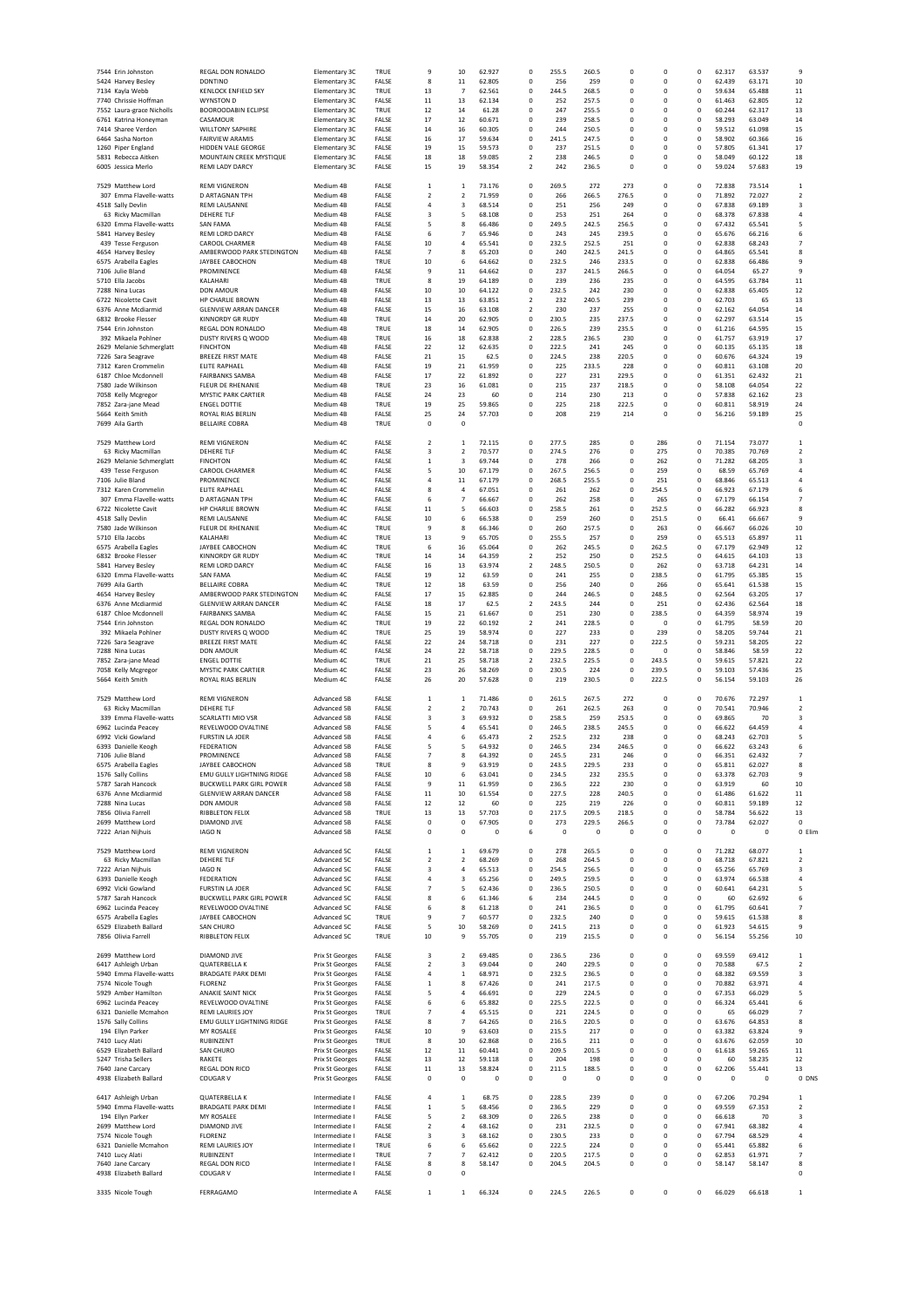| 7544 Erin Johnston        | REGAL DON RONALDO                         | Elementary 3C          | TRUE        | 9                        | 10             | 62.927           | 0                       | 255.5        | 260.5       | $^{\circ}$  | $^{\circ}$  | 0            | 62.317           | 63.537      | 9                                         |
|---------------------------|-------------------------------------------|------------------------|-------------|--------------------------|----------------|------------------|-------------------------|--------------|-------------|-------------|-------------|--------------|------------------|-------------|-------------------------------------------|
| 5424 Harvey Besley        | <b>DONTINO</b>                            | Elementary 3C          | FALSE       | 8                        | $11\,$         | 62.805           | $^{\circ}$              | 256          | 259         | $\mathbf 0$ | $\mathbf 0$ | 0            | 62.439           | 63.171      | 10                                        |
| 7134 Kayla Webb           | <b>KENLOCK ENFIELD SKY</b>                | Elementary 3C          | TRUE        | 13                       | $\overline{7}$ | 62.561           | $\mathbf 0$             | 244.5        | 268.5       | $\mathbf 0$ | $\mathbf 0$ | 0            | 59.634           | 65.488      | $11\,$                                    |
| 7740 Chrissie Hoffman     | WYNSTON D                                 | Elementary 3C          | FALSE       | $11\,$                   | 13             | 62.134           | $\mathbf 0$             | 252          | 257.5       | $\mathbf 0$ | $\mathbf 0$ | 0            | 61.463           | 62.805      | 12                                        |
| 7552 Laura-grace Nicholls | <b>BOOROODABIN ECLIPSE</b>                | Elementary 3C          | TRUE        | 12                       | 14             | 61.28            | $\mathbf 0$             | 247          | 255.5       | $\mathbf 0$ | $\mathbf 0$ | 0            | 60.244           | 62.317      | 13                                        |
| 6761 Katrina Honeyman     | CASAMOUR                                  | Elementary 3C          | FALSE       | 17                       | 12             | 60.671           | $\mathbf 0$             | 239          | 258.5       | $\mathbf 0$ | $\mathbf 0$ | $\mathbf 0$  | 58.293           | 63.049      | 14                                        |
| 7414 Sharee Verdon        | <b>WILLTONY SAPHIRE</b>                   | Elementary 3C          | FALSE       | 14                       | 16             | 60.305           | $\mathbf 0$             | 244          | 250.5       | $\mathbf 0$ | $\mathbf 0$ | 0            | 59.512           | 61.098      | 15                                        |
|                           |                                           |                        |             |                          |                |                  |                         |              |             |             |             |              |                  |             |                                           |
| 6464 Sasha Norton         | <b>FAIRVIEW ARAMIS</b>                    | Elementary 3C          | FALSE       | 16                       | 17             | 59.634           | $^{\circ}$              | 241.5        | 247.5       | $\mathbf 0$ | $\mathbf 0$ | $\mathbf 0$  | 58.902           | 60.366      | 16                                        |
| 1260 Piper England        | <b>HIDDEN VALE GEORGE</b>                 | Elementary 3C          | FALSE       | 19                       | 15             | 59.573           | $\mathbf 0$             | 237          | 251.5       | $\mathbf 0$ | $\mathbf 0$ | $\mathbf 0$  | 57.805           | 61.341      | 17                                        |
| 5831 Rebecca Aitken       | MOUNTAIN CREEK MYSTIQUE                   | Elementary 3C          | FALSE       | 18                       | 18             | 59.085           | $\overline{2}$          | 238          | 246.5       | $\mathbf 0$ | $\mathbf 0$ | $\mathbf 0$  | 58.049           | 60.122      | 18                                        |
| 6005 Jessica Merlo        | <b>REMI LADY DARCY</b>                    | Elementary 3C          | FALSE       | 15                       | 19             | 58.354           | $\overline{2}$          | 242          | 236.5       | $\mathbf 0$ | $\mathbf 0$ | $\mathbf 0$  | 59.024           | 57.683      | 19                                        |
|                           |                                           |                        |             |                          |                |                  |                         |              |             |             |             |              |                  |             |                                           |
| 7529 Matthew Lord         | <b>REMI VIGNERON</b>                      | Medium 4B              | FALSE       | $\,$ 1                   | 1              | 73.176           | 0                       | 269.5        | 272         | 273         | 0           | 0            | 72.838           | 73.514      | $\mathbf 1$                               |
| 307 Emma Flavelle-watts   | D ARTAGNAN TPH                            | Medium 4B              | FALSE       | $\overline{\mathbf{c}}$  | $\overline{2}$ | 71.959           | 0                       | 266          | 266.5       | 276.5       | 0           | 0            | 71.892           | 72.027      | $\overline{2}$                            |
| 4518 Sally Devlin         | REMI LAUSANNE                             | Medium 4B              | FALSE       | 4                        | 3              | 68.514           | 0                       | 251          | 256         | 249         | 0           | 0            | 67.838           | 69.189      | 3                                         |
| 63 Ricky Macmillan        | <b>DEHERE TLF</b>                         | Medium 4B              | FALSE       | 3                        | 5              | 68.108           | 0                       | 253          | 251         | 264         | 0           | 0            | 68.378           | 67.838      | 4                                         |
| 6320 Emma Flavelle-watts  | <b>SAN FAMA</b>                           | Medium 4B              | FALSE       | 5                        | 8              | 66.486           | 0                       | 249.5        | 242.5       | 256.5       | 0           | 0            | 67.432           | 65.541      | 5                                         |
| 5841 Harvey Besley        | <b>REMI LORD DARCY</b>                    | Medium 4B              | FALSE       | 6                        | $\overline{7}$ | 65.946           | $\mathbf 0$             | 243          | 245         | 239.5       | $\mathbf 0$ | 0            | 65.676           | 66.216      | 6                                         |
| 439 Tesse Ferguson        | <b>CAROOL CHARMER</b>                     | Medium 4B              | FALSE       | 10                       | $\overline{4}$ | 65.541           | $\mathbf 0$             | 232.5        | 252.5       | 251         | $\mathbf 0$ | 0            | 62.838           | 68.243      | 7                                         |
| 4654 Harvey Besley        | AMBERWOOD PARK STEDINGTON                 | Medium 4B              | FALSE       | $\overline{7}$           | 8              | 65.203           | 0                       | 240          | 242.5       | 241.5       | $\mathbf 0$ | 0            | 64.865           | 65.541      | 8                                         |
| 6575 Arabella Eagles      | <b>JAYBEE CABOCHON</b>                    | Medium 4B              | TRUE        | 10                       | 6              | 64.662           | $\mathbf 0$             | 232.5        | 246         | 233.5       | $\mathbf 0$ | $\pmb{0}$    | 62.838           | 66.486      | 9                                         |
| 7106 Julie Bland          | <b>PROMINENCE</b>                         | Medium 4B              | FALSE       | 9                        | $11\,$         | 64.662           | $^{\circ}$              | 237          | 241.5       | 266.5       | $\mathbf 0$ | $\pmb{0}$    | 64.054           | 65.27       | 9                                         |
| 5710 Ella Jacobs          |                                           |                        | TRUE        | 8                        | 19             | 64.189           | $\mathbf 0$             | 239          | 236         | 235         | $\mathbf 0$ | $\pmb{0}$    | 64.595           | 63.784      | 11                                        |
|                           | KALAHARI                                  | Medium 4B              |             |                          |                |                  |                         |              |             |             |             |              |                  |             |                                           |
| 7288 Nina Lucas           | DON AMOUR                                 | Medium 4B              | FALSE       | 10                       | 10             | 64.122           | $^{\circ}$              | 232.5        | 242         | 230         | $\mathbf 0$ | 0            | 62.838           | 65.405      | 12                                        |
| 6722 Nicolette Cavit      | <b>HP CHARLIE BROWN</b>                   | Medium 4B              | FALSE       | 13                       | 13             | 63.851           | $\mathcal{P}$           | 232          | 240.5       | 239         | $\mathbf 0$ | $\mathbf 0$  | 62.703           | 65          | 13                                        |
| 6376 Anne Mcdiarmid       | <b>GLENVIEW ARRAN DANCER</b>              | Medium 4B              | FALSE       | 15                       | 16             | 63.108           | $\overline{2}$          | 230          | 237         | 255         | $^{\circ}$  | 0            | 62.162           | 64.054      | 14                                        |
| 6832 Brooke Flesser       | KINNORDY GR RUDY                          | Medium 4B              | TRUE        | 14                       | 20             | 62.905           | $\mathbf 0$             | 230.5        | 235         | 237.5       | $\mathbf 0$ | 0            | 62.297           | 63.514      | 15                                        |
| 7544 Erin Johnston        | REGAL DON RONALDO                         | Medium 4B              | TRUE        | 18                       | 14             | 62.905           | $\mathbf 0$             | 226.5        | 239         | 235.5       | $\mathbf 0$ | 0            | 61.216           | 64.595      | 15                                        |
| 392 Mikaela Pohlner       | DUSTY RIVERS Q WOOD                       | Medium 4B              | TRUE        | 16                       | 18             | 62.838           | $\overline{\mathbf{c}}$ | 228.5        | 236.5       | 230         | $\mathbf 0$ | 0            | 61.757           | 63.919      | 17                                        |
| 2629 Melanie Schmerglatt  | <b>FINCHTON</b>                           | Medium 4B              | FALSE       | 22                       | 12             | 62.635           | $\mathbf 0$             | 222.5        | 241         | 245         | $\mathbf 0$ | 0            | 60.135           | 65.135      | 18                                        |
| 7226 Sara Seagrave        | <b>BREEZE FIRST MATE</b>                  | Medium 4B              | FALSE       | 21                       | 15             | 62.5             | $\mathbf 0$             | 224.5        | 238         | 220.5       | $\mathbf 0$ | 0            | 60.676           | 64.324      | 19                                        |
| 7312 Karen Crommelin      | ELITE RAPHAEL                             | Medium 4B              | FALSE       | 19                       | 21             | 61.959           | $\mathbf 0$             | 225          | 233.5       | 228         | $\mathbf 0$ | 0            | 60.811           | 63.108      | 20                                        |
| 6187 Chloe Mcdonnell      | <b>FAIRBANKS SAMBA</b>                    | Medium 4B              | FALSE       | 17                       | 22             | 61.892           | $\mathbf 0$             | 227          | 231         | 229.5       | $\mathbf 0$ | $\pmb{0}$    | 61.351           | 62.432      | 21                                        |
| 7580 Jade Wilkinson       | FLEUR DE RHENANIE                         | Medium 4B              | TRUE        | 23                       | 16             | 61.081           | $\mathbf 0$             | 215          | 237         | 218.5       | $\mathbf 0$ | $\mathbf 0$  | 58.108           | 64.054      | 22                                        |
| 7058 Kelly Mcgregor       | <b>MYSTIC PARK CARTIER</b>                | Medium 4B              | FALSE       | 24                       | 23             | 60               | $\mathbf 0$             | 214          | 230         | 213         | $\mathbf 0$ | $\mathbf 0$  | 57.838           | 62.162      | 23                                        |
| 7852 Zara-iane Mead       | <b>ENGEL DOTTIE</b>                       | Medium 4B              | <b>TRUE</b> | 19                       | 25             | 59.865           | 0                       | 225          | 218         | 222.5       | 0           | 0            | 60.811           | 58.919      | 24                                        |
| 5664 Keith Smith          | ROYAL RIAS BERLIN                         | Medium 4B              | FALSE       | 25                       | 24             | 57.703           | $^{\circ}$              | 208          | 219         | 214         | $^{\circ}$  | 0            | 56.216           | 59.189      | 25                                        |
| 7699 Aila Garth           | <b>BELLAIRE COBRA</b>                     | Medium 4B              | TRUE        | 0                        | 0              |                  |                         |              |             |             |             |              |                  |             | $\mathbf 0$                               |
|                           |                                           |                        |             |                          |                |                  |                         |              |             |             |             |              |                  |             |                                           |
|                           |                                           |                        |             |                          | $\mathbf{1}$   |                  |                         |              |             | 0           |             | 0            |                  |             | $\mathbf 1$                               |
| 7529 Matthew Lord         | <b>REMI VIGNERON</b>                      | Medium 4C              | FALSE       | 2                        |                | 72.115           | 0                       | 277.5        | 285         |             | 286         |              | 71.154           | 73.077      |                                           |
| 63 Ricky Macmillan        | <b>DEHERE TLF</b>                         | Medium 4C              | FALSE       | 3                        | $\overline{2}$ | 70.577           | 0                       | 274.5        | 276         | $\mathbf 0$ | 275         | 0            | 70.385           | 70.769      | $\overline{\mathbf{2}}$                   |
| 2629 Melanie Schmerglatt  | <b>FINCHTON</b>                           | Medium 4C              | FALSE       | $\mathbf{1}$             | $\overline{3}$ | 69.744           | $\mathbf 0$             | 278          | 266         | $\mathbf 0$ | 262         | 0            | 71.282           | 68.205      | 3                                         |
| 439 Tesse Ferguson        | CAROOL CHARMER                            | Medium 4C              | FALSE       | 5                        | 10             | 67.179           | $\mathbf 0$             | 267.5        | 256.5       | $\mathbf 0$ | 259         | 0            | 68.59            | 65.769      | $\overline{4}$                            |
| 7106 Julie Bland          | PROMINENCE                                | Medium 4C              | FALSE       | 4                        | $11\,$         | 67.179           | $\mathbf 0$             | 268.5        | 255.5       | $\mathbf 0$ | 251         | 0            | 68.846           | 65.513      | $\overline{4}$                            |
| 7312 Karen Crommelin      | <b>ELITE RAPHAEL</b>                      | Medium 4C              | FALSE       | 8                        | $\overline{4}$ | 67.051           | $^{\circ}$              | 261          | 262         | $\mathbf 0$ | 254.5       | $\mathbf 0$  | 66.923           | 67.179      | 6                                         |
| 307 Emma Flavelle-watts   | <b>D ARTAGNAN TPH</b>                     | Medium 4C              | FALSE       | 6                        | $\overline{7}$ | 66.667           | $\mathbf 0$             | 262          | 258         | $\pmb{0}$   | 265         | $\mathbf 0$  | 67.179           | 66.154      | $\overline{7}$                            |
| 6722 Nicolette Cavit      | <b>HP CHARLIE BROWN</b>                   | Medium 4C              | FALSE       | $11\,$                   | 5              | 66.603           | $\mathbf 0$             | 258.5        | 261         | $\pmb{0}$   | 252.5       | $\mathbf 0$  | 66.282           | 66.923      | 8                                         |
| 4518 Sally Devlin         | <b>REMI LAUSANNE</b>                      | Medium 4C              | FALSE       | 10                       | 6              | 66.538           | $\mathbf 0$             | <b>259</b>   | 260         | $\mathbf 0$ | 251.5       | $\mathbf 0$  | 66.41            | 66.667      | 9                                         |
| 7580 Jade Wilkinson       | FLEUR DE RHENANIE                         | Medium 4C              | <b>TRUE</b> | 9                        | 8              | 66.346           | $^{\circ}$              | 260          | 257.5       | $\mathbf 0$ | 263         | 0            | 66.667           | 66.026      | 10                                        |
| 5710 Ella Jacobs          | KALAHARI                                  | Medium 4C              | TRUE        | 13                       | $\mathbf{q}$   | 65.705           | $^{\circ}$              | 255.5        | 257         | $\mathbf 0$ | 259         | $\mathbf 0$  | 65.513           | 65.897      | 11                                        |
| 6575 Arabella Eagles      | JAYBEE CABOCHON                           | Medium 4C              | TRUE        | 6                        | 16             | 65.064           | $^{\circ}$              | 262          | 245.5       | $\mathbf 0$ | 262.5       | 0            | 67.179           | 62.949      | 12                                        |
| 6832 Brooke Flesser       | <b>KINNORDY GR RUDY</b>                   | Medium 4C              | TRUE        | 14                       | 14             | 64.359           | $\overline{\mathbf{c}}$ | 252          | 250         | 0           | 252.5       | 0            | 64.615           | 64.103      | 13                                        |
| 5841 Harvey Besley        | REMI LORD DARCY                           | Medium 4C              | FALSE       | 16                       | 13             | 63.974           | $\overline{2}$          | 248.5        | 250.5       | $\mathbf 0$ | 262         | 0            | 63.718           | 64.231      | 14                                        |
| 6320 Emma Flavelle-watts  | <b>SAN FAMA</b>                           | Medium 4C              | FALSE       | 19                       | 12             | 63.59            | 0                       | 241          | 255         | 0           | 238.5       | 0            | 61.795           | 65.385      | 15                                        |
| 7699 Aila Garth           | <b>BELLAIRE COBRA</b>                     | Medium 4C              | TRUE        | 12                       | 18             | 63.59            | $\mathbf 0$             | 256          | 240         | $\mathbf 0$ | 266         | 0            | 65.641           | 61.538      | 15                                        |
| 4654 Harvey Besley        | AMBERWOOD PARK STEDINGTON                 | Medium 4C              | FALSE       | 17                       | 15             | 62.885           | $\mathbf 0$             | 244          | 246.5       | $\mathbf 0$ | 248.5       | 0            | 62.564           | 63.205      | 17                                        |
| 6376 Anne Mcdiarmid       | <b>GLENVIEW ARRAN DANCER</b>              | Medium 4C              | FALSE       | 18                       | 17             | 62.5             | 2                       | 243.5        | 244         | $\mathbf 0$ | 251         | 0            | 62.436           | 62.564      | 18                                        |
|                           |                                           |                        |             |                          |                |                  |                         |              |             |             |             |              |                  |             |                                           |
| 6187 Chloe Mcdonnell      | <b>FAIRBANKS SAMBA</b>                    | Medium 4C              | FALSE       | 15                       | 21             | 61.667           | $^{\circ}$              | 251          | 230         | $\mathbf 0$ | 238.5       | $\mathbf 0$  | 64.359           | 58.974      | 19                                        |
| 7544 Erin Johnston        | <b>REGAL DON RONALDO</b>                  | Medium 4C              | TRUE        | 19                       | 22             | 60.192<br>58.974 | $\overline{2}$          | 241          | 228.5       | $\mathbf 0$ | $^{\circ}$  | $\mathbf 0$  | 61.795           | 58.59       | 20                                        |
| 392 Mikaela Pohlner       | DUSTY RIVERS Q WOOD                       | Medium 4C              | TRUE        |                          |                |                  |                         | 227          | 233         |             | 239         | $\mathbf 0$  |                  | 59.744      |                                           |
|                           |                                           |                        |             | 25                       | 19             |                  | $^{\circ}$              |              |             | $\mathbf 0$ |             |              | 58.205           |             | 21                                        |
| 7226 Sara Seagrave        | <b>BREEZE FIRST MATE</b>                  | Medium 4C              | FALSE       | 22                       | 24             | 58.718           | 0                       | 231          | 227         | 0           | 222.5       | 0            | 59.231           | 58.205      | 22                                        |
| 7288 Nina Lucas           | <b>DON AMOUR</b>                          | Medium 4C              | FALSE       | 24                       | 22             | 58.718           | 0                       | 229.5        | 228.5       | 0           | $^{\circ}$  | 0            | 58.846           | 58.59       | 22                                        |
| 7852 Zara-jane Mead       | <b>ENGEL DOTTIE</b>                       | Medium 4C              | TRUE        | 21                       | 25             | 58.718           | $\overline{2}$          | 232.5        | 225.5       | 0           | 243.5       | 0            | 59.615           | 57.821      | 22                                        |
| 7058 Kelly Mcgregor       | <b>MYSTIC PARK CARTIER</b>                | Medium 4C              | FALSE       | 23                       | 26             | 58.269           | 0                       | 230.5        | 224         | 0           | 239.5       | 0            | 59.103           | 57.436      | 25                                        |
| 5664 Keith Smith          | ROYAL RIAS BERLIN                         | Medium 4C              | FALSE       | 26                       | 20             | 57.628           | 0                       | 219          | 230.5       | 0           | 222.5       | 0            | 56.154           | 59.103      | 26                                        |
|                           |                                           |                        |             |                          |                |                  |                         |              |             |             |             |              |                  |             |                                           |
|                           |                                           |                        | FALSE       |                          |                | 71.486           | $^{\circ}$              |              |             |             | $\mathbf 0$ |              |                  | 72.297      | $\mathbf 1$                               |
| 7529 Matthew Lord         | <b>REMI VIGNERON</b><br><b>DEHERE TLF</b> | Advanced 5B            | FALSE       | $\,$ 1<br>$\overline{2}$ | $\,$ 1         | 70.743           | $^{\circ}$              | 261.5        | 267.5       | 272<br>263  | $\mathbf 0$ | 0            | 70.676           | 70.946      |                                           |
| 63 Ricky Macmillan        |                                           | Advanced 5B            | FALSE       | 3                        | $\overline{2}$ | 69.932           | $^{\circ}$              | 261<br>258.5 | 262.5       | 253.5       | $\mathbf 0$ | 0            | 70.541<br>69.865 | 70          | $\overline{2}$<br>$\overline{\mathbf{3}}$ |
| 339 Emma Flavelle-watts   | SCARLATTI MIO VSR                         | Advanced 5B            |             |                          | 3              |                  |                         |              | 259         |             |             | 0            |                  |             |                                           |
| 6962 Lucinda Peacey       | REVELWOOD OVALTINE                        | Advanced 5B            | FALSE       | 5                        | $\overline{4}$ | 65.541           | $^{\circ}$              | 246.5        | 238.5       | 245.5       | $\mathbf 0$ | $\mathbf 0$  | 66.622           | 64.459      | 4                                         |
| 6992 Vicki Gowland        | <b>FURSTIN LA JOER</b>                    | Advanced 5B            | FALSE       | 4                        | 6              | 65.473           | $\overline{2}$          | 252.5        | 232         | 238         | $\mathbf 0$ | $\mathbf 0$  | 68.243           | 62.703      | 5                                         |
| 6393 Danielle Keogh       | <b>FEDERATION</b>                         | Advanced 5B            | FALSE       | 5                        | 5              | 64.932           | $\mathbf 0$             | 246.5        | 234         | 246.5       | $\mathbf 0$ | $\mathbf 0$  | 66.622           | 63.243      | 6                                         |
| 7106 Julie Bland          | PROMINENCE                                | Advanced 5B            | FALSE       | 7                        | 8              | 64.392           | $\mathbf 0$             | 245.5        | 231         | 246         | $\Omega$    | 0            | 66.351           | 62.432      | $\overline{7}$                            |
| 6575 Arabella Eagles      | JAYBEE CABOCHON                           | Advanced 5B            | TRUE        |                          | S              | 63.919           | 0                       | 243.5        | 229.5       | 233         | $\Omega$    | <sup>0</sup> | 65.811           | 62.027      | 8                                         |
| 1576 Sally Collins        | EMU GULLY LIGHTNING RIDGE                 | Advanced 5B            | FALSE       | 10                       | 6              | 63.041           | $^{\circ}$              | 234.5        | 232         | 235.5       | $\mathbf 0$ | $\mathbf 0$  | 63.378           | 62.703      | 9                                         |
| 5787 Sarah Hancock        | BUCKWELL PARK GIRL POWER                  | Advanced 5B            | FALSE       | 9                        | $11\,$         | 61.959           | $\mathbf 0$             | 236.5        | 222         | 230         | 0           | 0            | 63.919           | 60          | 10                                        |
| 6376 Anne Mcdiarmid       | <b>GLENVIEW ARRAN DANCER</b>              | Advanced 5B            | FALSE       | $11\,$                   | 10             | 61.554           | $^{\circ}$              | 227.5        | 228         | 240.5       | $^{\circ}$  | 0            | 61.486           | 61.622      | $11\,$                                    |
| 7288 Nina Lucas           | DON AMOUR                                 | Advanced 5B            | FALSE       | 12                       | 12             | 60               | $\mathbf 0$             | 225          | 219         | 226         | $\mathbf 0$ | 0            | 60.811           | 59.189      | 12                                        |
| 7856 Olivia Farrell       | RIBBLETON FELIX                           | Advanced 5B            | TRUE        | 13                       | 13             | 57.703           | 0                       | 217.5        | 209.5       | 218.5       | $\mathbf 0$ | 0            | 58.784           | 56.622      | 13                                        |
| 2699 Matthew Lord         | DIAMOND JIVE                              | Advanced 5B            | FALSE       | $\mathbf 0$              | 0              | 67.905           | $\mathbf 0$             | 273          | 229.5       | 266.5       | $\mathbf 0$ | 0            | 73.784           | 62.027      | $\mathbf 0$                               |
| 7222 Arian Nijhuis        | IAGO N                                    | Advanced 5B            | FALSE       | 0                        | $\mathbf 0$    | $\mathbf 0$      | 6                       | $\mathbf 0$  | $\mathbf 0$ | $\mathbf 0$ | $\mathbf 0$ | $\mathbf 0$  | 0                | $\mathbf 0$ | 0 Elim                                    |
|                           |                                           |                        |             |                          |                |                  |                         |              |             |             |             |              |                  |             |                                           |
| 7529 Matthew Lord         | <b>REMI VIGNERON</b>                      | Advanced 5C            | FALSE       | $\mathbf{1}$             | 1              | 69.679           | $^{\circ}$              | 278          | 265.5       | $\mathbf 0$ | $\mathbf 0$ | $\pmb{0}$    | 71.282           | 68.077      | 1                                         |
| 63 Ricky Macmillan        | <b>DEHERE TLF</b>                         | Advanced 5C            | FALSE       | $\overline{2}$           | $\overline{2}$ | 68.269           | $\mathbf 0$             | 268          | 264.5       | $\mathbf 0$ | $^{\circ}$  | $\mathbf 0$  | 68.718           | 67.821      | $\overline{2}$                            |
| 7222 Arian Nijhuis        | <b>IAGON</b>                              | Advanced 5C            | FALSE       | 3                        | 4              | 65.513           | $\mathbf 0$             | 254.5        | 256.5       | $^{\circ}$  | $^{\circ}$  | $\mathbf 0$  | 65.256           | 65.769      | 3                                         |
|                           | <b>FEDERATION</b>                         | Advanced 5C            | FALSE       | 4                        | 3              | 65.256           | 0                       | 249.5        | 259.5       | 0           | $^{\circ}$  | 0            | 63.974           | 66.538      | 4                                         |
| 6393 Danielle Keogh       | <b>FURSTIN LA JOER</b>                    | Advanced 5C            | FALSE       | 7                        | 5              | 62.436           | 0                       |              | 250.5       | $^{\circ}$  | $^{\circ}$  | 0            | 60.641           | 64.231      | 5                                         |
| 6992 Vicki Gowland        |                                           |                        |             |                          |                |                  |                         | 236.5        |             |             |             |              |                  |             |                                           |
| 5787 Sarah Hancock        | BUCKWELL PARK GIRL POWER                  | Advanced 5C            | FALSE       | 8                        | 6              | 61.346           | 6                       | 234          | 244.5       | 0           | $^{\circ}$  | 0            | 60               | 62.692      | 6                                         |
| 6962 Lucinda Peacey       | REVELWOOD OVALTINE                        | Advanced 5C            | FALSE       | 6                        | 8              | 61.218           | 0                       | 241          | 236.5       | 0           | 0           | 0            | 61.795           | 60.641      | 7                                         |
| 6575 Arabella Eagles      | JAYBEE CABOCHON                           | Advanced 5C            | TRUE        | 9                        | 7              | 60.577           | 0                       | 232.5        | 240         | 0           | 0           | 0            | 59.615           | 61.538      | 8                                         |
| 6529 Elizabeth Ballard    | SAN CHURO                                 | Advanced 5C            | FALSE       | 5                        | 10             | 58.269           | 0                       | 241.5        | 213         | 0           | 0           | 0            | 61.923           | 54.615      | 9                                         |
| 7856 Olivia Farrell       | RIBBLETON FELIX                           | Advanced 5C            | TRUE        | $10\,$                   | 9              | 55.705           | $\mathbf 0$             | 219          | 215.5       | $\mathbf 0$ | $\mathbf 0$ | 0            | 56.154           | 55.256      | 10                                        |
|                           |                                           |                        |             |                          |                |                  |                         |              |             |             |             |              |                  |             |                                           |
| 2699 Matthew Lord         | DIAMOND JIVE                              | Prix St Georges        | FALSE       | 3                        | 2              | 69.485           | $^{\circ}$              | 236.5        | 236         | $\mathbf 0$ | $\mathbf 0$ | 0            | 69.559           | 69.412      | $\mathbf 1$                               |
| 6417 Ashleigh Urban       | <b>QUATERBELLA K</b>                      | <b>Prix St Georges</b> | FALSE       | $\overline{2}$           | 3              | 69.044           | $^{\circ}$              | 240          | 229.5       | $\pmb{0}$   | $\mathbf 0$ | $\mathbf 0$  | 70.588           | 67.5        | $\overline{2}$                            |
| 5940 Emma Flavelle-watts  | <b>BRADGATE PARK DEMI</b>                 | <b>Prix St Georges</b> | FALSE       | 4                        | 1              | 68.971           | $\mathbf 0$             | 232.5        | 236.5       | $\mathbf 0$ | $\mathbf 0$ | $\mathbf 0$  | 68.382           | 69.559      | 3                                         |
| 7574 Nicole Tough         | <b>FLORENZ</b>                            | Prix St Georges        | FALSE       | 1                        | 8              | 67.426           | $\mathbf 0$             | 241          | 217.5       | $\mathbf 0$ | $\mathbf 0$ | $\pmb{0}$    | 70.882           | 63.971      | 4                                         |
| 5929 Amber Hamilton       | ANAKIE SAINT NICK                         | Prix St Georges        | FALSE       | 5                        | $\overline{a}$ | 66.691           | 0                       | 229          | 224.5       | $^{\circ}$  | $^{\circ}$  | 0            | 67.353           | 66.029      | 5                                         |
| 6962 Lucinda Peacey       | REVELWOOD OVALTINE                        | Prix St Georges        | FALSE       | 6                        | 6              | 65.882           | 0                       | 225.5        | 222.5       | $^{\circ}$  | $^{\circ}$  | 0            | 66.324           | 65.441      | 6                                         |
| 6321 Danielle Mcmahon     | <b>REMI LAURIES JOY</b>                   | Prix St Georges        | TRUE        | 7                        | $\overline{a}$ | 65.515           | $^{\circ}$              | 221          | 224.5       | $^{\circ}$  | $^{\circ}$  | 0            | 65               | 66.029      | $\overline{7}$                            |
|                           |                                           | <b>Prix St Georges</b> |             | 8                        | $\overline{7}$ |                  | $\mathbf 0$             |              |             | $\mathbf 0$ | $\mathbf 0$ | 0            |                  |             |                                           |
| 1576 Sally Collins        | EMU GULLY LIGHTNING RIDGE                 |                        | FALSE       |                          |                | 64.265           | 0                       | 216.5        | 220.5       | $^{\circ}$  | $\mathbf 0$ |              | 63.676           | 64.853      | 8                                         |
| 194 Ellyn Parker          | MY ROSALEE                                | Prix St Georges        | FALSE       | 10                       | 9              | 63.603           | $\mathbf 0$             | 215.5        | 217         | $\mathbf 0$ | $\mathbf 0$ | 0            | 63.382           | 63.824      | 9                                         |
| 7410 Lucy Alati           | RUBINZENT                                 | <b>Prix St Georges</b> | TRUE        | 8                        | 10             | 62.868           |                         | 216.5        | 211         |             |             | 0            | 63.676           | 62.059      | 10                                        |
| 6529 Elizabeth Ballard    | SAN CHURO                                 | <b>Prix St Georges</b> | FALSE       | 12                       | $11\,$         | 60.441           | $\mathbf 0$             | 209.5        | 201.5       | $\mathbf 0$ | $\mathbf 0$ | 0            | 61.618           | 59.265      | $11\,$                                    |
| 5247 Trisha Sellers       | RAKETE                                    | Prix St Georges        | FALSE       | 13                       | 12             | 59.118           | $\mathbf 0$             | 204          | 198         | $\mathbf 0$ | $\mathbf 0$ | 0            | 60               | 58.235      | 12                                        |
| 7640 Jane Carcary         | REGAL DON RICO                            | Prix St Georges        | FALSE       | $11\,$                   | 13             | 58.824           | $\mathbf 0$             | 211.5        | 188.5       | $\mathbf 0$ | $\mathbf 0$ | 0            | 62.206           | 55.441      | 13                                        |
| 4938 Elizabeth Ballard    | COUGAR V                                  | <b>Prix St Georges</b> | FALSE       | $\mathbf 0$              | $\pmb{0}$      | 0                | $\mathbf 0$             | 0            | 0           | $\mathbf 0$ | $\mathbf 0$ | $\mathbf 0$  | $\mathbf 0$      | 0           | 0 DNS                                     |
|                           |                                           |                        |             |                          |                |                  |                         |              |             |             |             |              |                  |             |                                           |
| 6417 Ashleigh Urban       | <b>QUATERBELLA K</b>                      | Intermediate I         | FALSE       | $\overline{4}$           | $\mathbf{1}$   | 68.75            | $^{\circ}$              | 228.5        | 239         | $\pmb{0}$   | $\mathbf 0$ | $\pmb{0}$    | 67.206           | 70.294      | 1                                         |
| 5940 Emma Flavelle-watts  | <b>BRADGATE PARK DEMI</b>                 | Intermediate I         | FALSE       | 1                        | 5              | 68.456           | 0                       | 236.5        | 229         | 0           | 0           | 0            | 69.559           | 67.353      | $\overline{2}$                            |
| 194 Ellyn Parker          | MY ROSALEE                                | Intermediate I         | FALSE       | 5                        | $\overline{2}$ | 68.309           | 0                       | 226.5        | 238         | 0           | 0           | 0            | 66.618           | 70          | з                                         |
| 2699 Matthew Lord         | DIAMOND JIVE                              | Intermediate I         | FALSE       | $\overline{2}$           | 4              | 68.162           | 0                       | 231          | 232.5       | 0           | $^{\circ}$  | 0            | 67.941           | 68.382      | 4                                         |
| 7574 Nicole Tough         | <b>FLORENZ</b>                            | Intermediate I         | FALSE       | 3                        | 3              | 68.162           | 0                       | 230.5        | 233         | 0           | 0           | 0            | 67.794           | 68.529      | 4                                         |
| 6321 Danielle Mcmahon     | REMI LAURIES JOY                          | Intermediate I         | TRUE        | 6                        | 6              | 65.662           | 0                       | 222.5        | 224         | 0           | 0           | 0            | 65.441           | 65.882      | 6                                         |
| 7410 Lucy Alati           | RUBINZENT                                 | Intermediate I         | TRUE        | $\overline{7}$           | 7              | 62.412           | 0                       | 220.5        | 217.5       | 0           | 0           | 0            | 62.853           | 61.971      | 7                                         |
|                           |                                           | Intermediate I         |             |                          |                |                  | 0                       |              |             |             | 0           | 0            |                  |             |                                           |
| 7640 Jane Carcary         | REGAL DON RICO                            |                        | FALSE       | 8<br>0                   | 8              | 58.147           |                         | 204.5        | 204.5       | 0           |             |              | 58.147           | 58.147      | 8<br>$\mathbf 0$                          |
| 4938 Elizabeth Ballard    | COUGAR V                                  | Intermediate I         | FALSE       |                          | 0              |                  |                         |              |             |             |             |              |                  |             |                                           |
| 3335 Nicole Tough         | FERRAGAMO                                 | Intermediate A         | FALSE       | $\mathbf{1}$             | $\mathbf 1$    | 66.324           | $^{\circ}$              | 224.5        | 226.5       | 0           | 0           | 0            | 66.029           | 66.618      | $1\,$                                     |